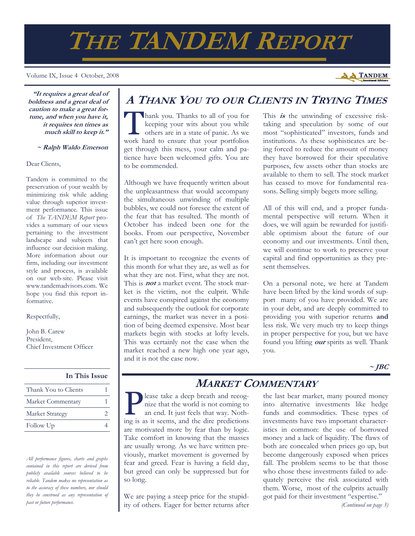# **THE TANDEM REPORT**

Volume IX, Issue 4 October, 2008

**A TANDEM** 

**"It requires a great deal of boldness and a great deal of caution to make a great fortune, and when you have it, it requires ten times as much skill to keep it."** 

 **~ Ralph Waldo Emerson**

#### Dear Clients,

Tandem is committed to the preservation of your wealth by minimizing risk while adding value through superior investment performance. This issue of *The TANDEM Report* provides a summary of our views pertaining to the investment landscape and subjects that influence our decision making. More information about our firm, including our investment style and process, is available on our web-site. Please visit www.tandemadvisors.com. We hope you find this report informative.

Respectfully,

John B. Carew President, Chief Investment Officer

## **In This Issue**

| Thank You to Clients |  |
|----------------------|--|
| Market Commentary    |  |
| Market Strategy      |  |
| Follow Up            |  |

*All performance figures, charts and graphs contained in this report are derived from publicly available sources believed to be reliable. Tandem makes no representation as to the accuracy of these numbers, nor should they be construed as any representation of past or future performance.* 

# **A THANK YOU TO OUR CLIENTS IN TRYING TIMES**

Thank you. Thanks to all of you for<br>
keeping your wits about you while<br>
others are in a state of panic. As we<br>
work hard to ensure that your portfolios keeping your wits about you while work hard to ensure that your portfolios get through this mess, your calm and patience have been welcomed gifts. You are to be commended.

Although we have frequently written about the unpleasantness that would accompany the simultaneous unwinding of multiple bubbles, we could not foresee the extent of the fear that has resulted. The month of October has indeed been one for the books. From our perspective, November can't get here soon enough.

It is important to recognize the events of this month for what they are, as well as for what they are not. First, what they are not. This is **not** a market event. The stock market is the victim, not the culprit. While events have conspired against the economy and subsequently the outlook for corporate earnings, the market was never in a position of being deemed expensive. Most bear markets begin with stocks at lofty levels. This was certainly not the case when the market reached a new high one year ago, and it is not the case now.

This *is* the unwinding of excessive risktaking and speculation by some of our most "sophisticated" investors, funds and institutions. As these sophisticates are being forced to reduce the amount of money they have borrowed for their speculative purposes, few assets other than stocks are available to them to sell. The stock market has ceased to move for fundamental reasons. Selling simply begets more selling.

All of this will end, and a proper fundamental perspective will return. When it does, we will again be rewarded for justifiable optimism about the future of our economy and our investments. Until then, we will continue to work to preserve your capital and find opportunities as they present themselves.

On a personal note, we here at Tandem have been lifted by the kind words of support many of you have provided. We are in your debt, and are deeply committed to providing you with superior returns **and**  less risk. We very much try to keep things in proper perspective for you, but we have found you lifting **our** spirits as well. Thank you.

 $\sim$ **JBC** 

**MARKET COMMENTARY** 

lease take a deep breath and recognize that the world is not coming to an end. It just feels that way. Nothing is as it seems, and the dire predictions are motivated more by fear than by logic. Take comfort in knowing that the masses are usually wrong. As we have written previously, market movement is governed by fear and greed. Fear is having a field day, but greed can only be suppressed but for so long.

We are paying a steep price for the stupidity of others. Eager for better returns after the last bear market, many poured money into alternative investments like hedge funds and commodities. These types of investments have two important characteristics in common: the use of borrowed money and a lack of liquidity. The flaws of both are concealed when prices go up, but become dangerously exposed when prices fall. The problem seems to be that those who chose these investments failed to adequately perceive the risk associated with them. Worse, most of the culprits actually got paid for their investment "expertise."

*(Continued on page 3)*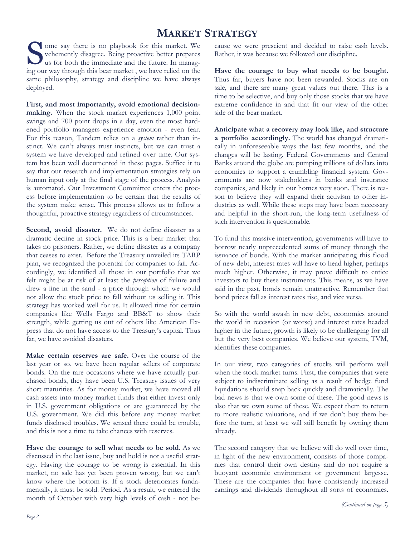# **MARKET STRATEGY**

Some say there is no playbook for this market. We vehemently disagree. Being proactive better prepares us for both the immediate and the future. In managvehemently disagree. Being proactive better prepares ing our way through this bear market , we have relied on the same philosophy, strategy and discipline we have always deployed.

**First, and most importantly, avoid emotional decisionmaking.** When the stock market experiences 1,000 point swings and 700 point drops in a day, even the most hardened portfolio managers experience emotion - even fear. For this reason, Tandem relies on a *system* rather than instinct. We can't always trust instincts, but we can trust a system we have developed and refined over time. Our system has been well documented in these pages. Suffice it to say that our research and implementation strategies rely on human input only at the final stage of the process. Analysis is automated. Our Investment Committee enters the process before implementation to be certain that the results of the system make sense. This process allows us to follow a thoughtful, proactive strategy regardless of circumstances.

Second, avoid disaster. We do not define disaster as a dramatic decline in stock price. This is a bear market that takes no prisoners. Rather, we define disaster as a company that ceases to exist. Before the Treasury unveiled its TARP plan, we recognized the potential for companies to fail. Accordingly, we identified all those in our portfolio that we felt might be at risk of at least the *perception* of failure and drew a line in the sand - a price through which we would not allow the stock price to fall without us selling it. This strategy has worked well for us. It allowed time for certain companies like Wells Fargo and BB&T to show their strength, while getting us out of others like American Express that do not have access to the Treasury's capital. Thus far, we have avoided disasters.

**Make certain reserves are safe.** Over the course of the last year or so, we have been regular sellers of corporate bonds. On the rare occasions where we have actually purchased bonds, they have been U.S. Treasury issues of very short maturities. As for money market, we have moved all cash assets into money market funds that either invest only in U.S. government obligations or are guaranteed by the U.S. government. We did this before any money market funds disclosed troubles. We sensed there could be trouble, and this is not a time to take chances with reserves.

**Have the courage to sell what needs to be sold.** As we discussed in the last issue, buy and hold is not a useful strategy. Having the courage to be wrong is essential. In this market, no sale has yet been proven wrong, but we can't know where the bottom is. If a stock deteriorates fundamentally, it must be sold. Period. As a result, we entered the month of October with very high levels of cash - not because we were prescient and decided to raise cash levels. Rather, it was because we followed our discipline.

**Have the courage to buy what needs to be bought.** Thus far, buyers have not been rewarded. Stocks are on sale, and there are many great values out there. This is a time to be selective, and buy only those stocks that we have extreme confidence in and that fit our view of the other side of the bear market.

**Anticipate what a recovery may look like, and structure a portfolio accordingly.** The world has changed dramatically in unforeseeable ways the last few months, and the changes will be lasting. Federal Governments and Central Banks around the globe are pumping trillions of dollars into economies to support a crumbling financial system. Governments are now stakeholders in banks and insurance companies, and likely in our homes very soon. There is reason to believe they will expand their activism to other industries as well. While these steps may have been necessary and helpful in the short-run, the long-term usefulness of such intervention is questionable.

To fund this massive intervention, governments will have to borrow nearly unprecedented sums of money through the issuance of bonds. With the market anticipating this flood of new debt, interest rates will have to head higher, perhaps much higher. Otherwise, it may prove difficult to entice investors to buy these instruments. This means, as we have said in the past, bonds remain unattractive. Remember that bond prices fall as interest rates rise, and vice versa.

So with the world awash in new debt, economies around the world in recession (or worse) and interest rates headed higher in the future, growth is likely to be challenging for all but the very best companies. We believe our system, TVM, identifies these companies.

In our view, two categories of stocks will perform well when the stock market turns. First, the companies that were subject to indiscriminate selling as a result of hedge fund liquidations should snap back quickly and dramatically. The bad news is that we own some of these. The good news is also that we own some of these. We expect them to return to more realistic valuations, and if we don't buy them before the turn, at least we will still benefit by owning them already.

The second category that we believe will do well over time, in light of the new environment, consists of those companies that control their own destiny and do not require a buoyant economic environment or government largesse. These are the companies that have consistently increased earnings and dividends throughout all sorts of economies.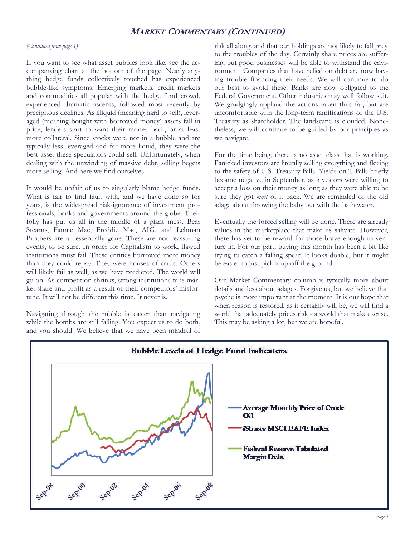## **MARKET COMMENTARY (CONTINUED)**

#### *(Continued from page 1)*

If you want to see what asset bubbles look like, see the accompanying chart at the bottom of the page. Nearly anything hedge funds collectively touched has experienced bubble-like symptoms. Emerging markets, credit markets and commodities all popular with the hedge fund crowd, experienced dramatic ascents, followed most recently by precipitous declines. As illiquid (meaning hard to sell), leveraged (meaning bought with borrowed money) assets fall in price, lenders start to want their money back, or at least more collateral. Since stocks were not in a bubble and are typically less leveraged and far more liquid, they were the best asset these speculators could sell. Unfortunately, when dealing with the unwinding of massive debt, selling begets more selling. And here we find ourselves.

It would be unfair of us to singularly blame hedge funds. What is fair to find fault with, and we have done so for years, is the widespread risk-ignorance of investment professionals, banks and governments around the globe. Their folly has put us all in the middle of a giant mess. Bear Stearns, Fannie Mae, Freddie Mac, AIG, and Lehman Brothers are all essentially gone. These are not reassuring events, to be sure. In order for Capitalism to work, flawed institutions must fail. These entities borrowed more money than they could repay. They were houses of cards. Others will likely fail as well, as we have predicted. The world will go on. As competition shrinks, strong institutions take market share and profit as a result of their competitors' misfortune. It will not be different this time. It never is.

Navigating through the rubble is easier than navigating while the bombs are still falling. You expect us to do both, and you should. We believe that we have been mindful of risk all along, and that our holdings are not likely to fall prey to the troubles of the day. Certainly share prices are suffering, but good businesses will be able to withstand the environment. Companies that have relied on debt are now having trouble financing their needs. We will continue to do our best to avoid these. Banks are now obligated to the Federal Government. Other industries may well follow suit. We grudgingly applaud the actions taken thus far, but are uncomfortable with the long-term ramifications of the U.S. Treasury as shareholder. The landscape is clouded. Nonetheless, we will continue to be guided by our principles as we navigate.

For the time being, there is no asset class that is working. Panicked investors are literally selling everything and fleeing to the safety of U.S. Treasury Bills. Yields on T-Bills briefly became negative in September, as investors were willing to accept a loss on their money as long as they were able to be sure they got *most* of it back. We are reminded of the old adage about throwing the baby out with the bath water.

Eventually the forced selling will be done. There are already values in the marketplace that make us salivate. However, there has yet to be reward for those brave enough to venture in. For our part, buying this month has been a bit like trying to catch a falling spear. It looks doable, but it might be easier to just pick it up off the ground.

Our Market Commentary column is typically more about details and less about adages. Forgive us, but we believe that psyche is more important at the moment. It is our hope that when reason is restored, as it certainly will be, we will find a world that adequately prices risk - a world that makes sense. This may be asking a lot, but we are hopeful.

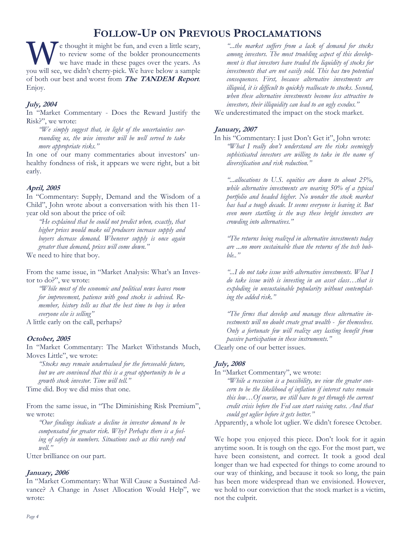# **FOLLOW-UP ON PREVIOUS PROCLAMATIONS**

W e thought it might be fun, and even a little scary, to review some of the bolder pronouncements we have made in these pages over the years. As you will see, we didn't cherry-pick. We have below a sample of both our best and worst from **The TANDEM Report**. Enjoy.

## **July, 2004**

In "Market Commentary - Does the Reward Justify the Risk?", we wrote:

*"We simply suggest that, in light of the uncertainties surrounding us, the wise investor will be well served to take more appropriate risks."* 

In one of our many commentaries about investors' unhealthy fondness of risk, it appears we were right, but a bit early.

### **April, 2005**

In "Commentary: Supply, Demand and the Wisdom of a Child", John wrote about a conversation with his then 11 year old son about the price of oil:

*"He explained that he could not predict when, exactly, that higher prices would make oil producers increase supply and buyers decrease demand. Whenever supply is once again greater than demand, prices will come down."* 

We need to hire that boy.

From the same issue, in "Market Analysis: What's an Investor to do?", we wrote:

*"While most of the economic and political news leaves room for improvement, patience with good stocks is advised. Remember, history tells us that the best time to buy is when everyone else is selling"* 

A little early on the call, perhaps?

### **October, 2005**

In "Market Commentary: The Market Withstands Much, Moves Little", we wrote:

*"Stocks may remain undervalued for the foreseeable future, but we are convinced that this is a great opportunity to be a growth stock investor. Time will tell."* 

Time did. Boy we did miss that one.

From the same issue, in "The Diminishing Risk Premium", we wrote:

*"Our findings indicate a decline in investor demand to be compensated for greater risk. Why? Perhaps there is a feeling of safety in numbers. Situations such as this rarely end well."* 

Utter brilliance on our part.

### **January, 2006**

In "Market Commentary: What Will Cause a Sustained Advance? A Change in Asset Allocation Would Help", we wrote:

*"...the market suffers from a lack of demand for stocks among investors. The most troubling aspect of this development is that investors have traded the liquidity of stocks for investments that are not easily sold. This has two potential consequences. First, because alternative investments are illiquid, it is difficult to quickly reallocate to stocks. Second, when these alternative investments become less attractive to investors, their illiquidity can lead to an ugly exodus."* 

We underestimated the impact on the stock market.

#### **January, 2007**

In his "Commentary: I just Don't Get it", John wrote: *"What I really don't understand are the risks seemingly sophisticated investors are willing to take in the name of diversification and risk reduction."* 

*"...allocations to U.S. equities are down to about 25%, while alternative investments are nearing 50% of a typical portfolio and headed higher. No wonder the stock market has had a tough decade. It seems everyone is leaving it. But even more startling is the way these bright investors are crowding into alternatives."* 

*"The returns being realized in alternative investments today are ...no more sustainable than the returns of the tech bubble.."* 

*"...I do not take issue with alternative investments. What I do take issue with is investing in an asset class…that is exploding in unsustainable popularity without contemplating the added risk."* 

*"The firms that develop and manage these alternative investments will no doubt create great wealth - for themselves. Only a fortunate few will realize any lasting benefit from passive participation in these instruments."* 

Clearly one of our better issues.

#### **July, 2008**

In "Market Commentary", we wrote:

*"While a recession is a possibility, we view the greater concern to be the likelihood of inflation if interest rates remain this low…Of course, we still have to get through the current credit crisis before the Fed can start raising rates. And that could get uglier before it gets better."* 

Apparently, a whole lot uglier. We didn't foresee October.

We hope you enjoyed this piece. Don't look for it again anytime soon. It is tough on the ego. For the most part, we have been consistent, and correct. It took a good deal longer than we had expected for things to come around to our way of thinking, and because it took so long, the pain has been more widespread than we envisioned. However, we hold to our conviction that the stock market is a victim, not the culprit.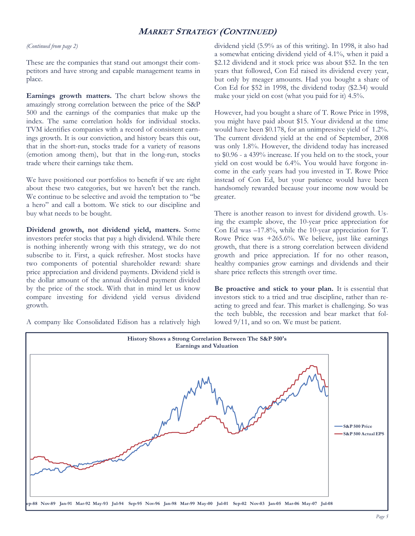## **MARKET STRATEGY (CONTINUED)**

#### *(Continued from page 2)*

These are the companies that stand out amongst their competitors and have strong and capable management teams in place.

**Earnings growth matters.** The chart below shows the amazingly strong correlation between the price of the S&P 500 and the earnings of the companies that make up the index. The same correlation holds for individual stocks. TVM identifies companies with a record of consistent earnings growth. It is our conviction, and history bears this out, that in the short-run, stocks trade for a variety of reasons (emotion among them), but that in the long-run, stocks trade where their earnings take them.

We have positioned our portfolios to benefit if we are right about these two categories, but we haven't bet the ranch. We continue to be selective and avoid the temptation to "be a hero" and call a bottom. We stick to our discipline and buy what needs to be bought.

**Dividend growth, not dividend yield, matters.** Some investors prefer stocks that pay a high dividend. While there is nothing inherently wrong with this strategy, we do not subscribe to it. First, a quick refresher. Most stocks have two components of potential shareholder reward: share price appreciation and dividend payments. Dividend yield is the dollar amount of the annual dividend payment divided by the price of the stock. With that in mind let us know compare investing for dividend yield versus dividend growth.

A company like Consolidated Edison has a relatively high

dividend yield (5.9% as of this writing). In 1998, it also had a somewhat enticing dividend yield of 4.1%, when it paid a \$2.12 dividend and it stock price was about \$52. In the ten years that followed, Con Ed raised its dividend every year, but only by meager amounts. Had you bought a share of Con Ed for \$52 in 1998, the dividend today (\$2.34) would make your yield on cost (what you paid for it) 4.5%.

However, had you bought a share of T. Rowe Price in 1998, you might have paid about \$15. Your dividend at the time would have been \$0.178, for an unimpressive yield of 1.2%. The current dividend yield at the end of September, 2008 was only 1.8%. However, the dividend today has increased to \$0.96 - a 439% increase. If you held on to the stock, your yield on cost would be 6.4%. You would have forgone income in the early years had you invested in T. Rowe Price instead of Con Ed, but your patience would have been handsomely rewarded because your income now would be greater.

There is another reason to invest for dividend growth. Using the example above, the 10-year price appreciation for Con Ed was –17.8%, while the 10-year appreciation for T. Rowe Price was +265.6%. We believe, just like earnings growth, that there is a strong correlation between dividend growth and price appreciation. If for no other reason, healthy companies grow earnings and dividends and their share price reflects this strength over time.

**Be proactive and stick to your plan.** It is essential that investors stick to a tried and true discipline, rather than reacting to greed and fear. This market is challenging. So was the tech bubble, the recession and bear market that followed 9/11, and so on. We must be patient.